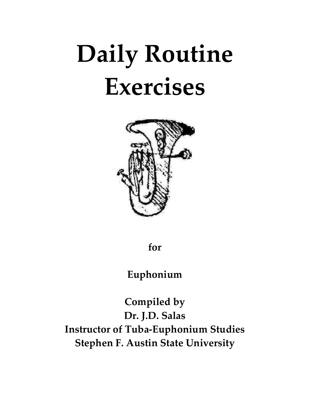# **Daily Routine Exercises**



**for**

**Euphonium**

**Compiled by Dr. J.D. Salas Instructor of Tuba‐Euphonium Studies Stephen F. Austin State University**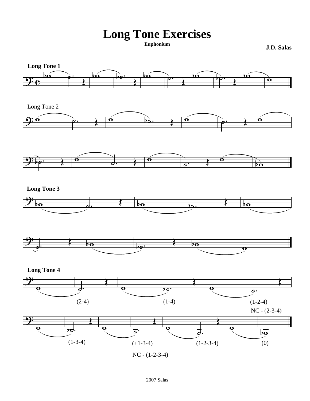# **Long Tone Exercises**

**J.D. Salas** 

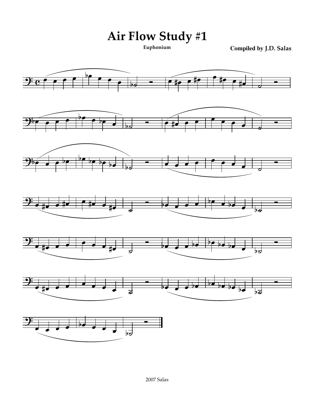Air Flow Study #1

**Compiled by J.D. Salas** 

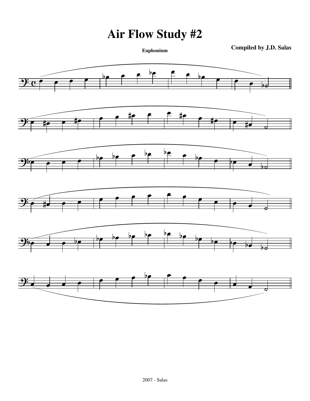# **Air Flow Study #2**

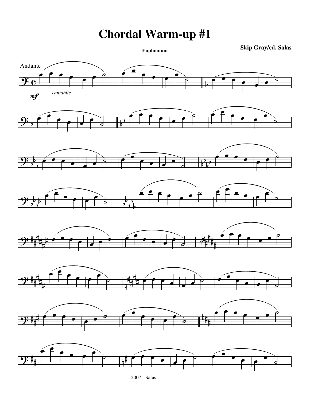**Euphonium Skip Gray/ed. Salas**



<sup>2007 -</sup> Salas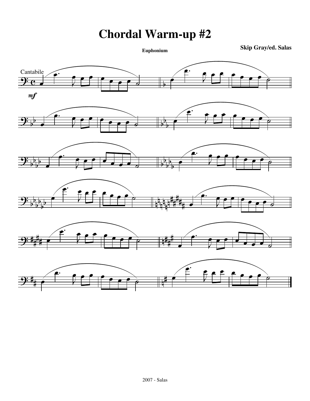**Euphonium Skip Gray/ed. Salas**

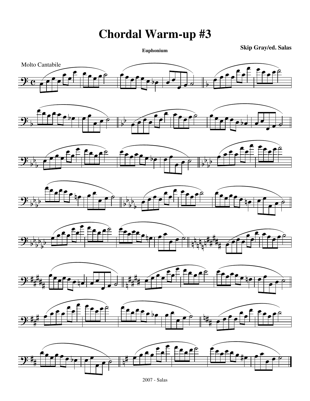**Euphonium Skip Gray/ed. Salas**



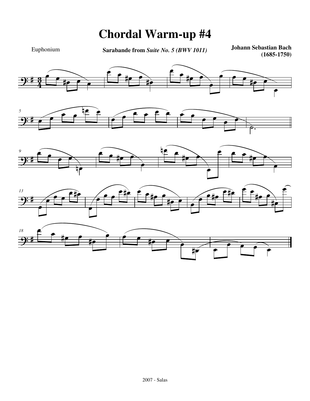Euphonium

**Sarabande from** *Suite No. 5 (BWV 1011)* **Johann Sebastian Bach**

**(1685-1750)**

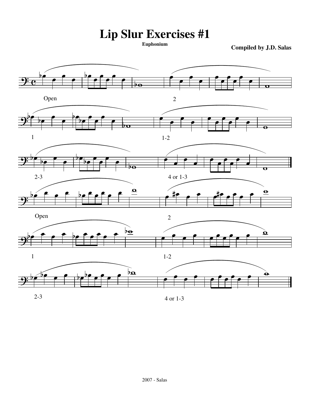**Lip Slur Exercises #1**

**Compiled by J.D. Salas** 

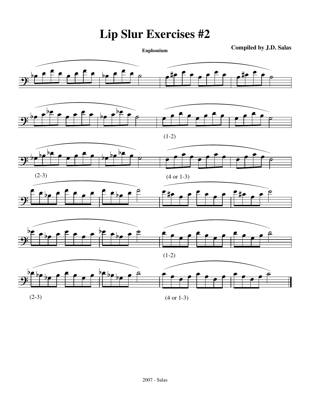# **Lip Slur Exercises #2**

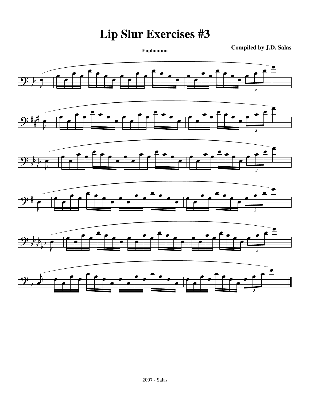### **Lip Slur Exercises #3**

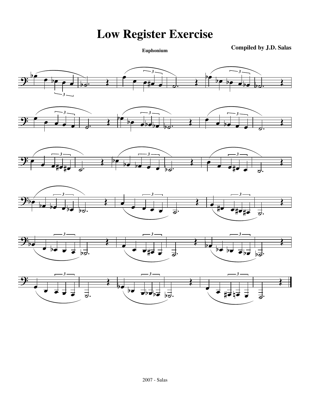**Low Register Exercise**

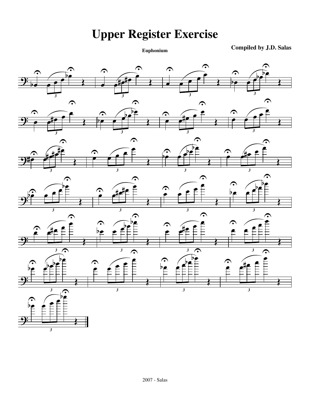# **Upper Register Exercise**

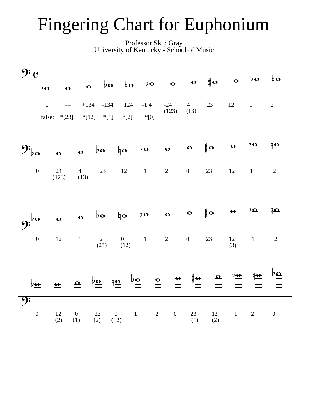# Fingering Chart for Euphonium

Professor Skip Gray University of Kentucky - School of Music